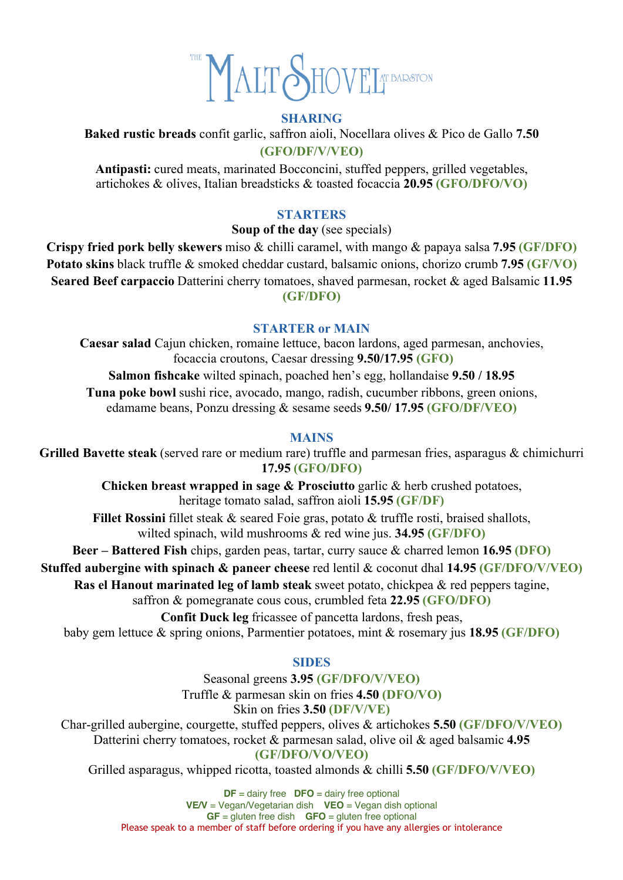

### **SHARING**

**Baked rustic breads** confit garlic, saffron aioli, Nocellara olives & Pico de Gallo **7.50 (GFO/DF/V/VEO)**

**Antipasti:** cured meats, marinated Bocconcini, stuffed peppers, grilled vegetables, artichokes & olives, Italian breadsticks & toasted focaccia **20.95 (GFO/DFO/VO)**

### **STARTERS**

### **Soup of the day** (see specials)

**Crispy fried pork belly skewers** miso & chilli caramel, with mango & papaya salsa **7.95 (GF/DFO) Potato skins** black truffle & smoked cheddar custard, balsamic onions, chorizo crumb **7.95 (GF/VO) Seared Beef carpaccio** Datterini cherry tomatoes, shaved parmesan, rocket & aged Balsamic **11.95 (GF/DFO)**

### **STARTER or MAIN**

**Caesar salad** Cajun chicken, romaine lettuce, bacon lardons, aged parmesan, anchovies, focaccia croutons, Caesar dressing **9.50/17.95 (GFO) Salmon fishcake** wilted spinach, poached hen's egg, hollandaise **9.50 / 18.95 Tuna poke bowl** sushi rice, avocado, mango, radish, cucumber ribbons, green onions, edamame beans, Ponzu dressing & sesame seeds **9.50/ 17.95 (GFO/DF/VEO)**

### **MAINS**

**Grilled Bavette steak** (served rare or medium rare) truffle and parmesan fries, asparagus & chimichurri **17.95 (GFO/DFO)**

> **Chicken breast wrapped in sage & Prosciutto** garlic & herb crushed potatoes, heritage tomato salad, saffron aioli **15.95 (GF/DF)**

**Fillet Rossini** fillet steak & seared Foie gras, potato & truffle rosti, braised shallots, wilted spinach, wild mushrooms & red wine jus. **34.95 (GF/DFO)**

**Beer – Battered Fish** chips, garden peas, tartar, curry sauce & charred lemon **16.95 (DFO)**

**Stuffed aubergine with spinach & paneer cheese** red lentil & coconut dhal **14.95 (GF/DFO/V/VEO)**

**Ras el Hanout marinated leg of lamb steak** sweet potato, chickpea & red peppers tagine,

saffron & pomegranate cous cous, crumbled feta **22.95 (GFO/DFO)**

**Confit Duck leg** fricassee of pancetta lardons, fresh peas,

baby gem lettuce & spring onions, Parmentier potatoes, mint & rosemary jus **18.95 (GF/DFO)**

### **SIDES**

Seasonal greens **3.95 (GF/DFO/V/VEO)** Truffle & parmesan skin on fries **4.50 (DFO/VO)** Skin on fries **3.50 (DF/V/VE)**

Char-grilled aubergine, courgette, stuffed peppers, olives & artichokes **5.50 (GF/DFO/V/VEO)** Datterini cherry tomatoes, rocket & parmesan salad, olive oil & aged balsamic **4.95 (GF/DFO/VO/VEO)**

Grilled asparagus, whipped ricotta, toasted almonds & chilli **5.50 (GF/DFO/V/VEO)**

**DF** = dairy free **DFO** = dairy free optional **VE/V** = Vegan/Vegetarian dish **VEO** = Vegan dish optional **GF** = gluten free dish **GFO** = gluten free optional Please speak to a member of staff before ordering if you have any allergies or intolerance